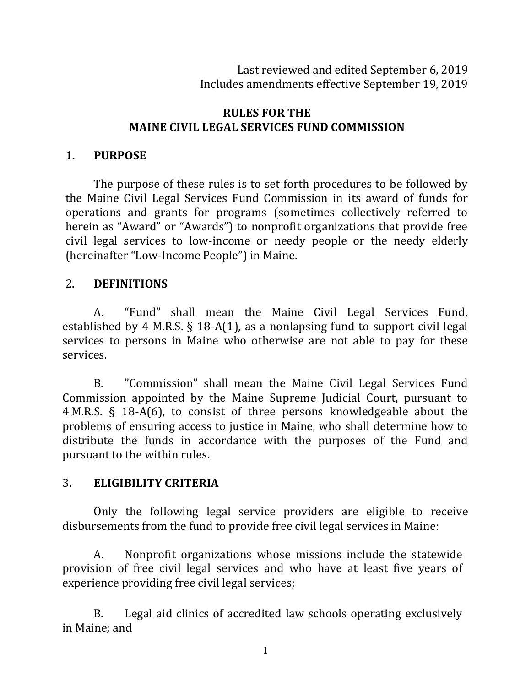Last reviewed and edited September 6, 2019 Includes amendments effective September 19, 2019

### **RULES FOR THE MAINE CIVIL LEGAL SERVICES FUND COMMISSION**

### 1**. PURPOSE**

The purpose of these rules is to set forth procedures to be followed by the Maine Civil Legal Services Fund Commission in its award of funds for operations and grants for programs (sometimes collectively referred to herein as "Award" or "Awards") to nonprofit organizations that provide free civil legal services to low-income or needy people or the needy elderly (hereinafter "Low-Income People") in Maine.

### 2. **DEFINITIONS**

A. "Fund" shall mean the Maine Civil Legal Services Fund, established by 4 M.R.S. § 18-A(1), as a nonlapsing fund to support civil legal services to persons in Maine who otherwise are not able to pay for these services.

B. "Commission" shall mean the Maine Civil Legal Services Fund Commission appointed by the Maine Supreme Judicial Court, pursuant to 4 M.R.S. § 18-A(6), to consist of three persons knowledgeable about the problems of ensuring access to justice in Maine, who shall determine how to distribute the funds in accordance with the purposes of the Fund and pursuant to the within rules.

### 3. **ELIGIBILITY CRITERIA**

Only the following legal service providers are eligible to receive disbursements from the fund to provide free civil legal services in Maine:

A. Nonprofit organizations whose missions include the statewide provision of free civil legal services and who have at least five years of experience providing free civil legal services;

B. Legal aid clinics of accredited law schools operating exclusively in Maine; and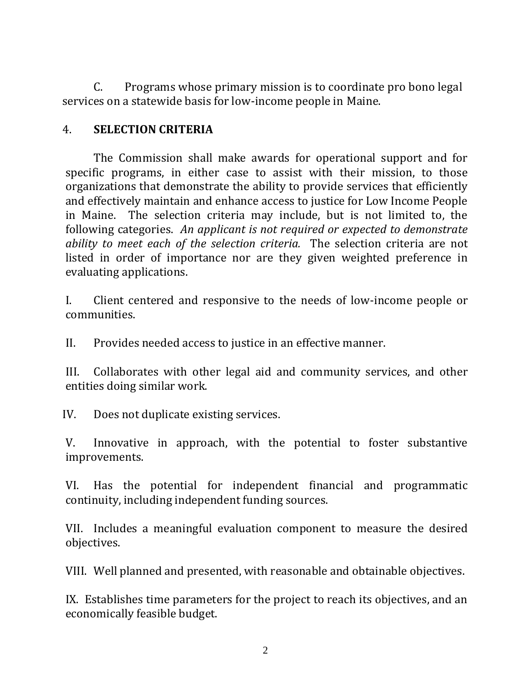C. Programs whose primary mission is to coordinate pro bono legal services on a statewide basis for low-income people in Maine.

### 4. **SELECTION CRITERIA**

The Commission shall make awards for operational support and for specific programs, in either case to assist with their mission, to those organizations that demonstrate the ability to provide services that efficiently and effectively maintain and enhance access to justice for Low Income People in Maine. The selection criteria may include, but is not limited to, the following categories. *An applicant is not required or expected to demonstrate ability to meet each of the selection criteria.* The selection criteria are not listed in order of importance nor are they given weighted preference in evaluating applications.

I. Client centered and responsive to the needs of low-income people or communities.

II. Provides needed access to justice in an effective manner.

III. Collaborates with other legal aid and community services, and other entities doing similar work.

IV. Does not duplicate existing services.

V. Innovative in approach, with the potential to foster substantive improvements.

VI. Has the potential for independent financial and programmatic continuity, including independent funding sources.

VII. Includes a meaningful evaluation component to measure the desired objectives.

VIII. Well planned and presented, with reasonable and obtainable objectives.

IX. Establishes time parameters for the project to reach its objectives, and an economically feasible budget.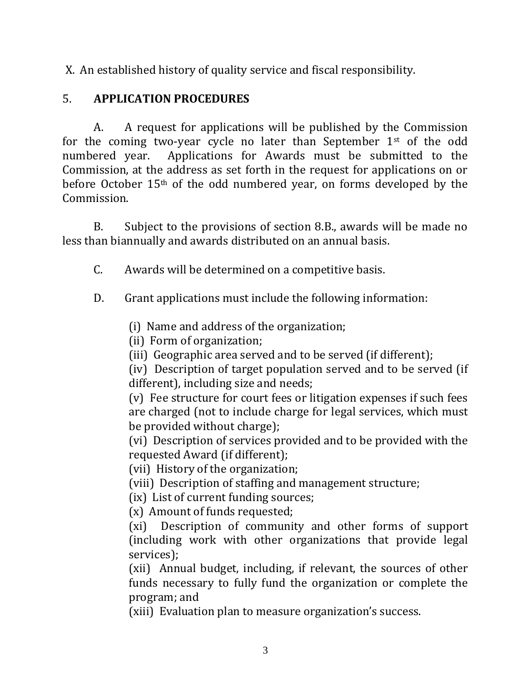X. An established history of quality service and fiscal responsibility.

# 5. **APPLICATION PROCEDURES**

A. A request for applications will be published by the Commission for the coming two-year cycle no later than September  $1<sup>st</sup>$  of the odd numbered year. Applications for Awards must be submitted to the Commission, at the address as set forth in the request for applications on or before October 15th of the odd numbered year, on forms developed by the Commission.

B. Subject to the provisions of section 8.B., awards will be made no less than biannually and awards distributed on an annual basis.

C. Awards will be determined on a competitive basis.

- D. Grant applications must include the following information:
	- (i) Name and address of the organization;
	- (ii) Form of organization;
	- (iii) Geographic area served and to be served (if different);

(iv) Description of target population served and to be served (if different), including size and needs;

(v) Fee structure for court fees or litigation expenses if such fees are charged (not to include charge for legal services, which must be provided without charge);

(vi) Description of services provided and to be provided with the requested Award (if different);

(vii) History of the organization;

(viii) Description of staffing and management structure;

(ix) List of current funding sources;

(x) Amount of funds requested;

(xi) Description of community and other forms of support (including work with other organizations that provide legal services);

(xii) Annual budget, including, if relevant, the sources of other funds necessary to fully fund the organization or complete the program; and

(xiii) Evaluation plan to measure organization's success.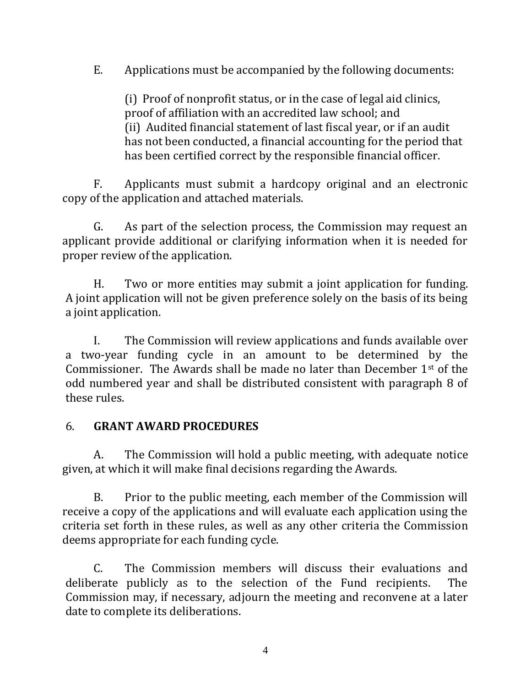E. Applications must be accompanied by the following documents:

(i) Proof of nonprofit status, or in the case of legal aid clinics, proof of affiliation with an accredited law school; and (ii) Audited financial statement of last fiscal year, or if an audit has not been conducted, a financial accounting for the period that has been certified correct by the responsible financial officer.

F. Applicants must submit a hardcopy original and an electronic copy of the application and attached materials.

G. As part of the selection process, the Commission may request an applicant provide additional or clarifying information when it is needed for proper review of the application.

H. Two or more entities may submit a joint application for funding. A joint application will not be given preference solely on the basis of its being a joint application.

I. The Commission will review applications and funds available over a two-year funding cycle in an amount to be determined by the Commissioner. The Awards shall be made no later than December  $1<sup>st</sup>$  of the odd numbered year and shall be distributed consistent with paragraph 8 of these rules.

## 6. **GRANT AWARD PROCEDURES**

A. The Commission will hold a public meeting, with adequate notice given, at which it will make final decisions regarding the Awards.

B. Prior to the public meeting, each member of the Commission will receive a copy of the applications and will evaluate each application using the criteria set forth in these rules, as well as any other criteria the Commission deems appropriate for each funding cycle.

C. The Commission members will discuss their evaluations and deliberate publicly as to the selection of the Fund recipients. The Commission may, if necessary, adjourn the meeting and reconvene at a later date to complete its deliberations.

4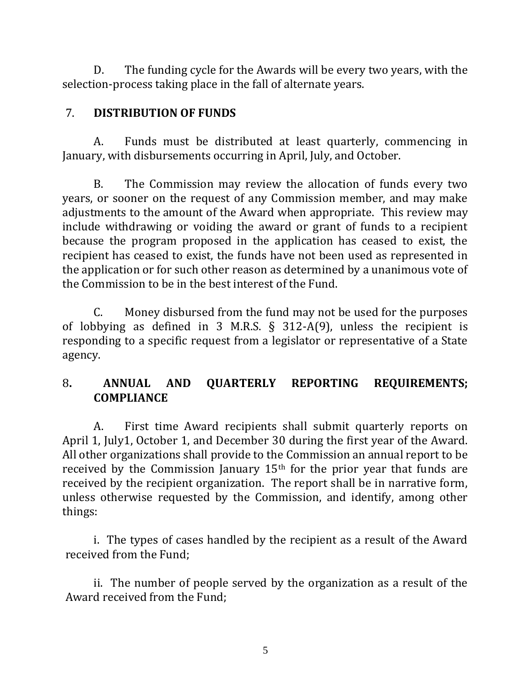D. The funding cycle for the Awards will be every two years, with the selection-process taking place in the fall of alternate years.

## 7. **DISTRIBUTION OF FUNDS**

A. Funds must be distributed at least quarterly, commencing in January, with disbursements occurring in April, July, and October.

B. The Commission may review the allocation of funds every two years, or sooner on the request of any Commission member, and may make adjustments to the amount of the Award when appropriate. This review may include withdrawing or voiding the award or grant of funds to a recipient because the program proposed in the application has ceased to exist, the recipient has ceased to exist, the funds have not been used as represented in the application or for such other reason as determined by a unanimous vote of the Commission to be in the best interest of the Fund.

C. Money disbursed from the fund may not be used for the purposes of lobbying as defined in 3 M.R.S.  $\S$  312-A(9), unless the recipient is responding to a specific request from a legislator or representative of a State agency.

## 8**. ANNUAL AND QUARTERLY REPORTING REQUIREMENTS; COMPLIANCE**

A. First time Award recipients shall submit quarterly reports on April 1, July1, October 1, and December 30 during the first year of the Award. All other organizations shall provide to the Commission an annual report to be received by the Commission January 15th for the prior year that funds are received by the recipient organization. The report shall be in narrative form, unless otherwise requested by the Commission, and identify, among other things:

i. The types of cases handled by the recipient as a result of the Award received from the Fund;

ii. The number of people served by the organization as a result of the Award received from the Fund;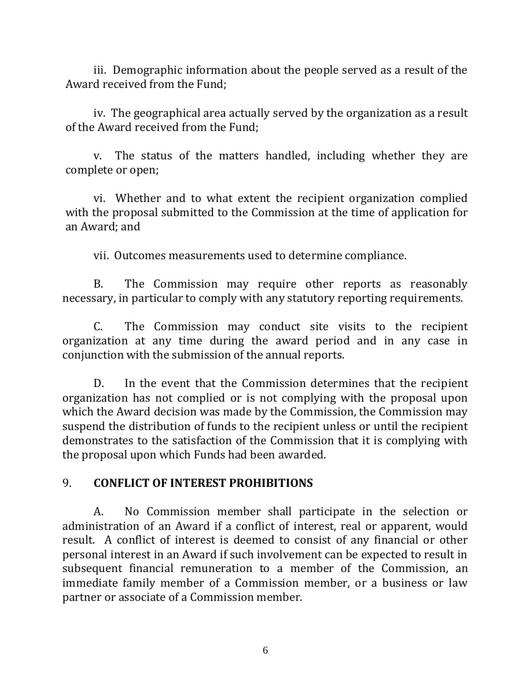iii. Demographic information about the people served as a result of the Award received from the Fund;

iv. The geographical area actually served by the organization as a result of the Award received from the Fund;

v. The status of the matters handled, including whether they are complete or open;

vi. Whether and to what extent the recipient organization complied with the proposal submitted to the Commission at the time of application for an Award; and

vii. Outcomes measurements used to determine compliance.

B. The Commission may require other reports as reasonably necessary, in particular to comply with any statutory reporting requirements.

C. The Commission may conduct site visits to the recipient organization at any time during the award period and in any case in conjunction with the submission of the annual reports.

D. In the event that the Commission determines that the recipient organization has not complied or is not complying with the proposal upon which the Award decision was made by the Commission, the Commission may suspend the distribution of funds to the recipient unless or until the recipient demonstrates to the satisfaction of the Commission that it is complying with the proposal upon which Funds had been awarded.

### 9. **CONFLICT OF INTEREST PROHIBITIONS**

A. No Commission member shall participate in the selection or administration of an Award if a conflict of interest, real or apparent, would result. A conflict of interest is deemed to consist of any financial or other personal interest in an Award if such involvement can be expected to result in subsequent financial remuneration to a member of the Commission, an immediate family member of a Commission member, or a business or law partner or associate of a Commission member.